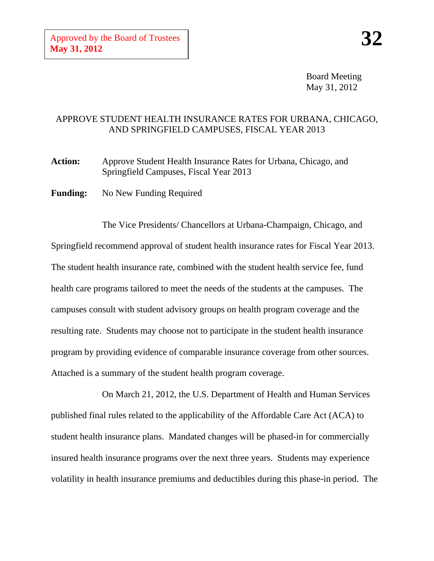Board Meeting May 31, 2012

## APPROVE STUDENT HEALTH INSURANCE RATES FOR URBANA, CHICAGO, AND SPRINGFIELD CAMPUSES, FISCAL YEAR 2013

**Action:** Approve Student Health Insurance Rates for Urbana, Chicago, and Springfield Campuses, Fiscal Year 2013

**Funding:** No New Funding Required

The Vice Presidents/ Chancellors at Urbana-Champaign, Chicago, and Springfield recommend approval of student health insurance rates for Fiscal Year 2013. The student health insurance rate, combined with the student health service fee, fund health care programs tailored to meet the needs of the students at the campuses. The campuses consult with student advisory groups on health program coverage and the resulting rate. Students may choose not to participate in the student health insurance program by providing evidence of comparable insurance coverage from other sources. Attached is a summary of the student health program coverage.

On March 21, 2012, the U.S. Department of Health and Human Services published final rules related to the applicability of the Affordable Care Act (ACA) to student health insurance plans. Mandated changes will be phased-in for commercially insured health insurance programs over the next three years. Students may experience volatility in health insurance premiums and deductibles during this phase-in period. The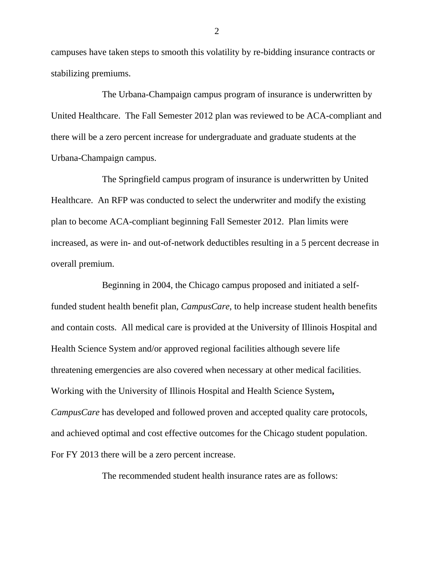campuses have taken steps to smooth this volatility by re-bidding insurance contracts or stabilizing premiums.

The Urbana-Champaign campus program of insurance is underwritten by United Healthcare. The Fall Semester 2012 plan was reviewed to be ACA-compliant and there will be a zero percent increase for undergraduate and graduate students at the Urbana-Champaign campus.

The Springfield campus program of insurance is underwritten by United Healthcare. An RFP was conducted to select the underwriter and modify the existing plan to become ACA-compliant beginning Fall Semester 2012. Plan limits were increased, as were in- and out-of-network deductibles resulting in a 5 percent decrease in overall premium.

Beginning in 2004, the Chicago campus proposed and initiated a selffunded student health benefit plan, *CampusCare*, to help increase student health benefits and contain costs. All medical care is provided at the University of Illinois Hospital and Health Science System and/or approved regional facilities although severe life threatening emergencies are also covered when necessary at other medical facilities. Working with the University of Illinois Hospital and Health Science System**,**  *CampusCare* has developed and followed proven and accepted quality care protocols, and achieved optimal and cost effective outcomes for the Chicago student population. For FY 2013 there will be a zero percent increase.

The recommended student health insurance rates are as follows:

2